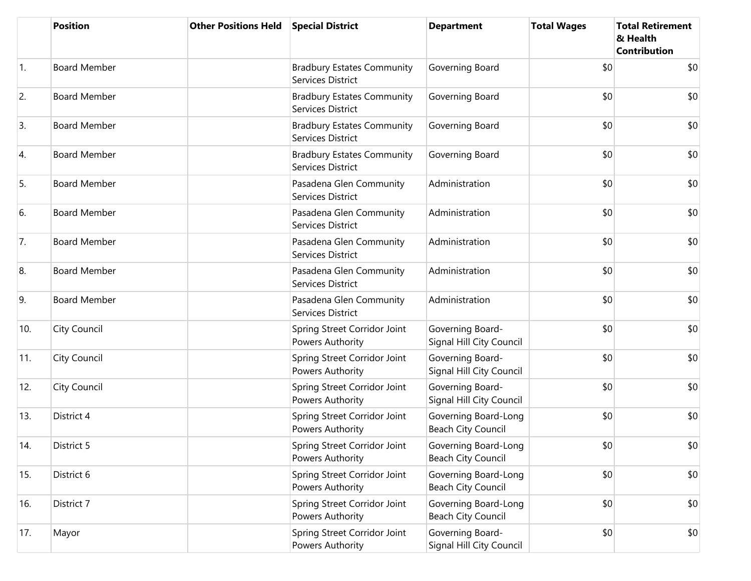|            | <b>Position</b>     | <b>Other Positions Held</b> | <b>Special District</b>                                | <b>Department</b>                                 | <b>Total Wages</b> | <b>Total Retirement</b><br>& Health<br><b>Contribution</b> |
|------------|---------------------|-----------------------------|--------------------------------------------------------|---------------------------------------------------|--------------------|------------------------------------------------------------|
| $\vert$ 1. | <b>Board Member</b> |                             | <b>Bradbury Estates Community</b><br>Services District | Governing Board                                   | \$0                | \$0                                                        |
| 2.         | <b>Board Member</b> |                             | <b>Bradbury Estates Community</b><br>Services District | Governing Board                                   | \$0                | \$0                                                        |
| 3.         | <b>Board Member</b> |                             | <b>Bradbury Estates Community</b><br>Services District | Governing Board                                   | \$0                | \$0                                                        |
| 4.         | <b>Board Member</b> |                             | <b>Bradbury Estates Community</b><br>Services District | Governing Board                                   | \$0                | \$0                                                        |
| 5.         | <b>Board Member</b> |                             | Pasadena Glen Community<br>Services District           | Administration                                    | \$0                | \$0                                                        |
| 6.         | <b>Board Member</b> |                             | Pasadena Glen Community<br>Services District           | Administration                                    | \$0                | \$0                                                        |
| 7.         | <b>Board Member</b> |                             | Pasadena Glen Community<br>Services District           | Administration                                    | \$0                | \$0                                                        |
| 8.         | <b>Board Member</b> |                             | Pasadena Glen Community<br>Services District           | Administration                                    | \$0                | \$0                                                        |
| 9.         | <b>Board Member</b> |                             | Pasadena Glen Community<br>Services District           | Administration                                    | \$0                | \$0                                                        |
| 10.        | <b>City Council</b> |                             | Spring Street Corridor Joint<br>Powers Authority       | Governing Board-<br>Signal Hill City Council      | \$0                | \$0                                                        |
| 11.        | City Council        |                             | Spring Street Corridor Joint<br>Powers Authority       | Governing Board-<br>Signal Hill City Council      | \$0                | \$0                                                        |
| 12.        | <b>City Council</b> |                             | Spring Street Corridor Joint<br>Powers Authority       | Governing Board-<br>Signal Hill City Council      | \$0                | \$0                                                        |
| 13.        | District 4          |                             | Spring Street Corridor Joint<br>Powers Authority       | Governing Board-Long<br>Beach City Council        | \$0                | \$0                                                        |
| 14.        | District 5          |                             | Spring Street Corridor Joint<br>Powers Authority       | Governing Board-Long<br><b>Beach City Council</b> | \$0                | \$0                                                        |
| 15.        | District 6          |                             | Spring Street Corridor Joint<br>Powers Authority       | Governing Board-Long<br>Beach City Council        | \$0                | \$0                                                        |
| 16.        | District 7          |                             | Spring Street Corridor Joint<br>Powers Authority       | Governing Board-Long<br><b>Beach City Council</b> | \$0                | \$0                                                        |
| 17.        | Mayor               |                             | Spring Street Corridor Joint<br>Powers Authority       | Governing Board-<br>Signal Hill City Council      | \$0                | \$0                                                        |